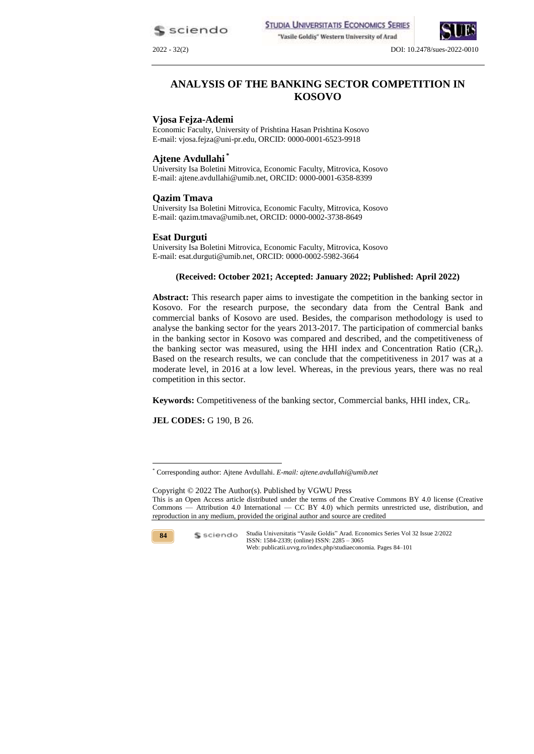sciendo

2022 - 32(2) DOI: 10.2478/sues-2022-0010

# **ANALYSIS OF THE BANKING SECTOR COMPETITION IN KOSOVO**

#### **Vjosa Fejza-Ademi**

Economic Faculty, University of Prishtina Hasan Prishtina Kosovo E-mail: vjosa.fejza@uni-pr.edu, ORCID: 0000-0001-6523-9918

#### **Ajtene Avdullahi \***

University Isa Boletini Mitrovica, Economic Faculty, Mitrovica, Kosovo E-mail: ajtene.avdullahi@umib.net, ORCID: 0000-0001-6358-8399

#### **Qazim Tmava**

University Isa Boletini Mitrovica, Economic Faculty, Mitrovica, Kosovo E-mail: qazim.tmava@umib.net, ORCID: 0000-0002-3738-8649

#### **Esat Durguti**

University Isa Boletini Mitrovica, Economic Faculty, Mitrovica, Kosovo E-mail: esat.durguti@umib.net, ORCID: 0000-0002-5982-3664

# **(Received: October 2021; Accepted: January 2022; Published: April 2022)**

**Abstract:** This research paper aims to investigate the competition in the banking sector in Kosovo. For the research purpose, the secondary data from the Central Bank and commercial banks of Kosovo are used. Besides, the comparison methodology is used to analyse the banking sector for the years 2013-2017. The participation of commercial banks in the banking sector in Kosovo was compared and described, and the competitiveness of the banking sector was measured, using the HHI index and Concentration Ratio  $(CR<sub>4</sub>)$ . Based on the research results, we can conclude that the competitiveness in 2017 was at a moderate level, in 2016 at a low level. Whereas, in the previous years, there was no real competition in this sector.

**Keywords:** Competitiveness of the banking sector, Commercial banks, HHI index, CR4.

**JEL CODES:** G 190, B 26.

Copyright © 2022 The Author(s). Published by VGWU Press This is an Open Access article distributed under the terms of the Creative Commons BY 4.0 license [\(Creative](https://creativecommons.org/licenses/by/4.0/)  Commons — [Attribution 4.0 International —](https://creativecommons.org/licenses/by/4.0/) CC BY 4.0) which permits unrestricted use, distribution, and reproduction in any medium, provided the original author and source are credited



1

<sup>\*</sup> Corresponding author: Ajtene Avdullahi. *E-mail: ajtene.avdullahi@umib.net*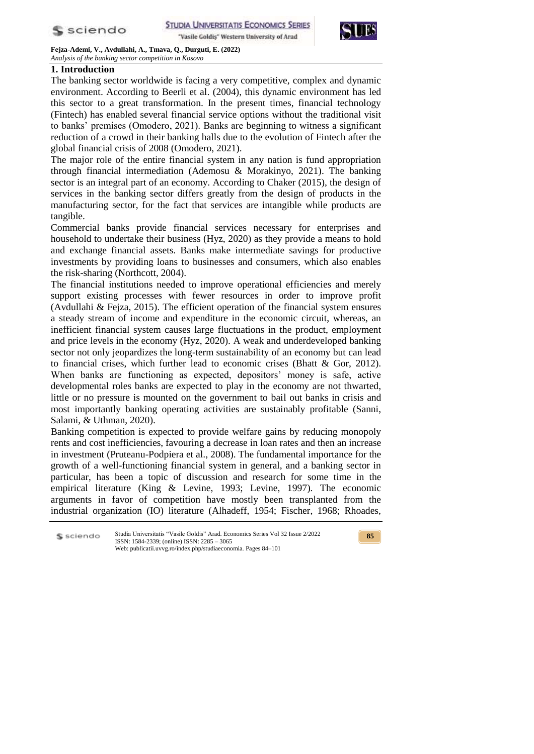

# **1. Introduction**

The banking sector worldwide is facing a very competitive, complex and dynamic environment. According to Beerli et al. (2004), this dynamic environment has led this sector to a great transformation. In the present times, financial technology (Fintech) has enabled several financial service options without the traditional visit to banks' premises (Omodero, 2021). Banks are beginning to witness a significant reduction of a crowd in their banking halls due to the evolution of Fintech after the global financial crisis of 2008 (Omodero, 2021).

The major role of the entire financial system in any nation is fund appropriation through financial intermediation (Ademosu & Morakinyo, 2021). The banking sector is an integral part of an economy. According to Chaker (2015), the design of services in the banking sector differs greatly from the design of products in the manufacturing sector, for the fact that services are intangible while products are tangible.

Commercial banks provide financial services necessary for enterprises and household to undertake their business (Hyz, 2020) as they provide a means to hold and exchange financial assets. Banks make intermediate savings for productive investments by providing loans to businesses and consumers, which also enables the risk-sharing (Northcott, 2004).

The financial institutions needed to improve operational efficiencies and merely support existing processes with fewer resources in order to improve profit (Avdullahi & Fejza, 2015). The efficient operation of the financial system ensures a steady stream of income and expenditure in the economic circuit, whereas, an inefficient financial system causes large fluctuations in the product, employment and price levels in the economy (Hyz, 2020). A weak and underdeveloped banking sector not only jeopardizes the long-term sustainability of an economy but can lead to financial crises, which further lead to economic crises (Bhatt & Gor, 2012). When banks are functioning as expected, depositors' money is safe, active developmental roles banks are expected to play in the economy are not thwarted, little or no pressure is mounted on the government to bail out banks in crisis and most importantly banking operating activities are sustainably profitable (Sanni, Salami, & Uthman, 2020).

Banking competition is expected to provide welfare gains by reducing monopoly rents and cost inefficiencies, favouring a decrease in loan rates and then an increase in investment (Pruteanu-Podpiera et al., 2008). The fundamental importance for the growth of a well-functioning financial system in general, and a banking sector in particular, has been a topic of discussion and research for some time in the empirical literature (King & Levine, 1993; Levine, 1997). The economic arguments in favor of competition have mostly been transplanted from the industrial organization (IO) literature (Alhadeff, 1954; Fischer, 1968; Rhoades,

Studia Universitatis "Vasile Goldis" Arad. Economics Series Vol 32 Issue 2/2022 S sciendo ISSN: 1584-2339; (online) ISSN: 2285 – 3065 Web: publicatii.uvvg.ro/index.php/studiaeconomia. Pages 84–101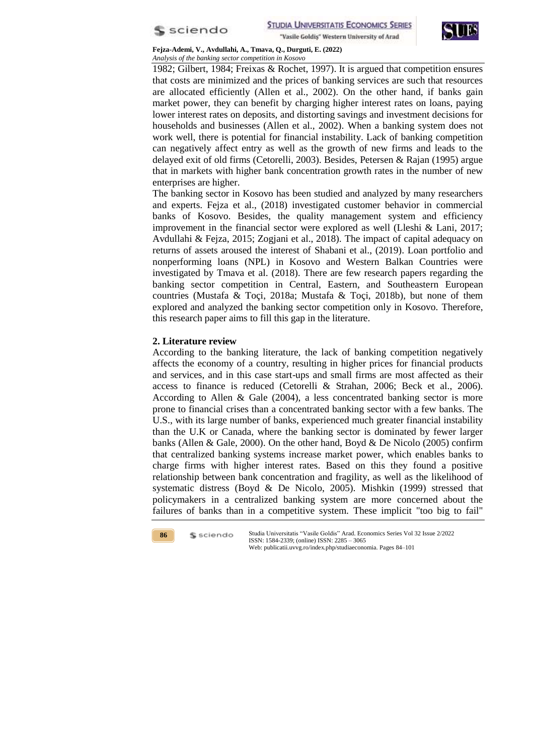



1982; Gilbert, 1984; Freixas & Rochet, 1997). It is argued that competition ensures that costs are minimized and the prices of banking services are such that resources are allocated efficiently (Allen et al., 2002). On the other hand, if banks gain market power, they can benefit by charging higher interest rates on loans, paying lower interest rates on deposits, and distorting savings and investment decisions for households and businesses (Allen et al., 2002). When a banking system does not work well, there is potential for financial instability. Lack of banking competition can negatively affect entry as well as the growth of new firms and leads to the delayed exit of old firms (Cetorelli, 2003). Besides, Petersen & Rajan (1995) argue that in markets with higher bank concentration growth rates in the number of new enterprises are higher.

The banking sector in Kosovo has been studied and analyzed by many researchers and experts. Fejza et al., (2018) investigated customer behavior in commercial banks of Kosovo. Besides, the quality management system and efficiency improvement in the financial sector were explored as well (Lleshi & Lani, 2017; Avdullahi & Fejza, 2015; Zogjani et al., 2018). The impact of capital adequacy on returns of assets aroused the interest of Shabani et al., (2019). Loan portfolio and nonperforming loans (NPL) in Kosovo and Western Balkan Countries were investigated by Tmava et al. (2018). There are few research papers regarding the banking sector competition in Central, Eastern, and Southeastern European countries (Mustafa & Toçi, 2018a; Mustafa & Toçi, 2018b), but none of them explored and analyzed the banking sector competition only in Kosovo. Therefore, this research paper aims to fill this gap in the literature.

#### **2. Literature review**

According to the banking literature, the lack of banking competition negatively affects the economy of a country, resulting in higher prices for financial products and services, and in this case start-ups and small firms are most affected as their access to finance is reduced (Cetorelli & Strahan, 2006; Beck et al., 2006). According to Allen & Gale (2004), a less concentrated banking sector is more prone to financial crises than a concentrated banking sector with a few banks. The U.S., with its large number of banks, experienced much greater financial instability than the U.K or Canada, where the banking sector is dominated by fewer larger banks (Allen & Gale, 2000). On the other hand, Boyd & De Nicolo (2005) confirm that centralized banking systems increase market power, which enables banks to charge firms with higher interest rates. Based on this they found a positive relationship between bank concentration and fragility, as well as the likelihood of systematic distress (Boyd & De Nicolo, 2005). Mishkin (1999) stressed that policymakers in a centralized banking system are more concerned about the failures of banks than in a competitive system. These implicit "too big to fail"

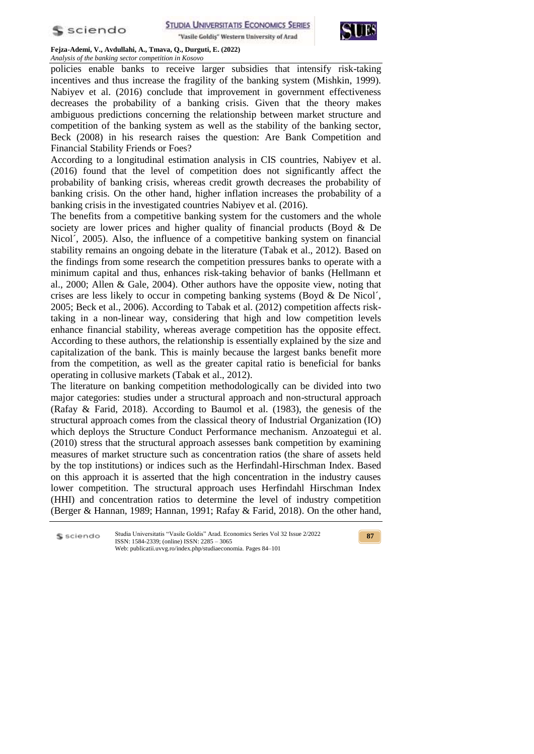

"Vasile Goldis" Western University of Arad



**Fejza-Ademi, V., Avdullahi, A., Tmava, Q., Durguti, E. (2022)** *Analysis of the banking sector competition in Kosovo*

policies enable banks to receive larger subsidies that intensify risk-taking incentives and thus increase the fragility of the banking system (Mishkin, 1999). Nabiyev et al. (2016) conclude that improvement in government effectiveness decreases the probability of a banking crisis. Given that the theory makes ambiguous predictions concerning the relationship between market structure and competition of the banking system as well as the stability of the banking sector, Beck (2008) in his research raises the question: Are Bank Competition and Financial Stability Friends or Foes?

According to a longitudinal estimation analysis in CIS countries, Nabiyev et al. (2016) found that the level of competition does not significantly affect the probability of banking crisis, whereas credit growth decreases the probability of banking crisis. On the other hand, higher inflation increases the probability of a banking crisis in the investigated countries Nabiyev et al. (2016).

The benefits from a competitive banking system for the customers and the whole society are lower prices and higher quality of financial products (Boyd & De Nicol´, 2005). Also, the influence of a competitive banking system on financial stability remains an ongoing debate in the literature (Tabak et al., 2012). Based on the findings from some research the competition pressures banks to operate with a minimum capital and thus, enhances risk-taking behavior of banks (Hellmann et al., 2000; Allen & Gale, 2004). Other authors have the opposite view, noting that crises are less likely to occur in competing banking systems (Boyd & De Nicol´, 2005; Beck et al., 2006). According to Tabak et al. (2012) competition affects risktaking in a non-linear way, considering that high and low competition levels enhance financial stability, whereas average competition has the opposite effect. According to these authors, the relationship is essentially explained by the size and capitalization of the bank. This is mainly because the largest banks benefit more from the competition, as well as the greater capital ratio is beneficial for banks operating in collusive markets (Tabak et al., 2012).

The literature on banking competition methodologically can be divided into two major categories: studies under a structural approach and non-structural approach (Rafay & Farid, 2018). According to Baumol et al. (1983), the genesis of the structural approach comes from the classical theory of Industrial Organization (IO) which deploys the Structure Conduct Performance mechanism. Anzoategui et al. (2010) stress that the structural approach assesses bank competition by examining measures of market structure such as concentration ratios (the share of assets held by the top institutions) or indices such as the Herfindahl-Hirschman Index. Based on this approach it is asserted that the high concentration in the industry causes lower competition. The structural approach uses Herfindahl Hirschman Index (HHI) and concentration ratios to determine the level of industry competition (Berger & Hannan, 1989; Hannan, 1991; Rafay & Farid, 2018). On the other hand,

Studia Universitatis "Vasile Goldis" Arad. Economics Series Vol 32 Issue 2/2022 S sciendo ISSN: 1584-2339; (online) ISSN: 2285 – 3065 Web: publicatii.uvvg.ro/index.php/studiaeconomia. Pages 84–101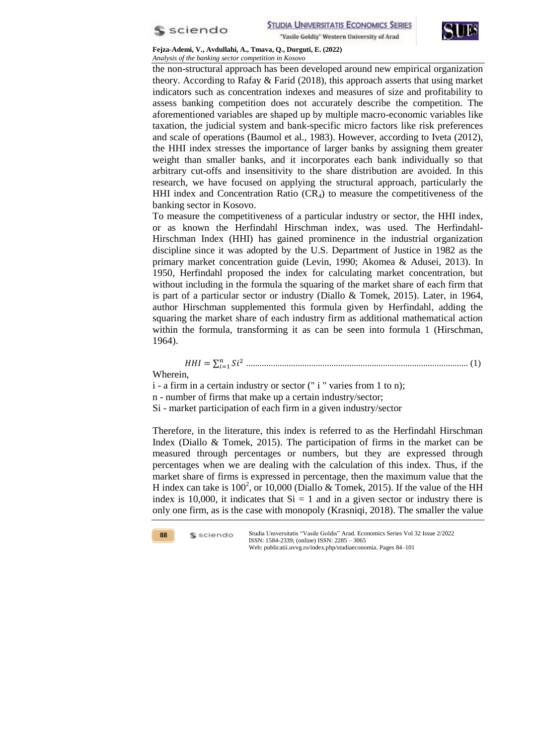



the non-structural approach has been developed around new empirical organization theory. According to Rafay & Farid (2018), this approach asserts that using market indicators such as concentration indexes and measures of size and profitability to assess banking competition does not accurately describe the competition. The aforementioned variables are shaped up by multiple macro-economic variables like taxation, the judicial system and bank-specific micro factors like risk preferences and scale of operations (Baumol et al., 1983). However, according to Iveta (2012), the HHI index stresses the importance of larger banks by assigning them greater weight than smaller banks, and it incorporates each bank individually so that arbitrary cut-offs and insensitivity to the share distribution are avoided. In this research, we have focused on applying the structural approach, particularly the HHI index and Concentration Ratio  $(CR<sub>4</sub>)$  to measure the competitiveness of the banking sector in Kosovo.

To measure the competitiveness of a particular industry or sector, the HHI index, or as known the Herfindahl Hirschman index, was used. The Herfindahl-Hirschman Index (HHI) has gained prominence in the industrial organization discipline since it was adopted by the U.S. Department of Justice in 1982 as the primary market concentration guide (Levin, 1990; Akomea & Adusei, 2013). In 1950, Herfindahl proposed the index for calculating market concentration, but without including in the formula the squaring of the market share of each firm that is part of a particular sector or industry (Diallo & Tomek, 2015). Later, in 1964, author Hirschman supplemented this formula given by Herfindahl, adding the squaring the market share of each industry firm as additional mathematical action within the formula, transforming it as can be seen into formula 1 (Hirschman, 1964).

*HHI* = 
$$
\sum_{i=1}^{n} Si^2
$$
 *........ ........ ........ ........ ........ ........ ........ ........ ... ... ... ... ... ... ... ... ... ... ... ... ... ... ... ... ... ... ... ... ... ... ... ... ... ... ... ... ... ... ... ... ... ... ... ... ... ... ... ... ... ... ... ... ... ... ... ... ... ... ... ... ... ... ... ... ... ... ... ... ... ... ... ... ... ... ... ... ... ... ... ... ... ... ... ... ... ... ... ... ... ... ... ... ... ... ... ... ... ... ... ... ... ... ... ... ... ... ... ... ... ... ... ... ... ... ... ... ... ... ... ... ... ...*

Si - market participation of each firm in a given industry/sector

Therefore, in the literature, this index is referred to as the Herfindahl Hirschman Index (Diallo & Tomek, 2015). The participation of firms in the market can be measured through percentages or numbers, but they are expressed through percentages when we are dealing with the calculation of this index. Thus, if the market share of firms is expressed in percentage, then the maximum value that the H index can take is  $100^2$ , or  $10,000$  (Diallo & Tomek, 2015). If the value of the HH index is 10,000, it indicates that  $Si = 1$  and in a given sector or industry there is only one firm, as is the case with monopoly (Krasniqi, 2018). The smaller the value

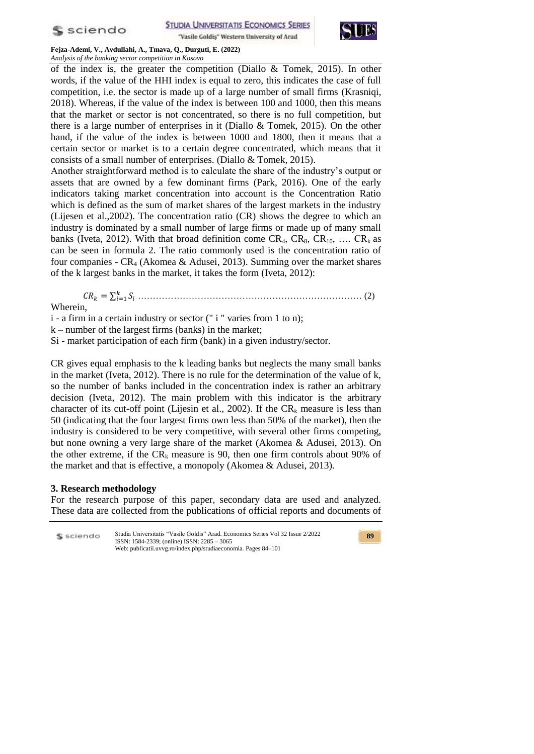

**STUDIA UNIVERSITATIS ECONOMICS SERIES** 

"Vasile Goldis" Western University of Arad



**Fejza-Ademi, V., Avdullahi, A., Tmava, Q., Durguti, E. (2022)** *Analysis of the banking sector competition in Kosovo*

of the index is, the greater the competition (Diallo & Tomek, 2015). In other words, if the value of the HHI index is equal to zero, this indicates the case of full competition, i.e. the sector is made up of a large number of small firms (Krasniqi, 2018). Whereas, if the value of the index is between 100 and 1000, then this means that the market or sector is not concentrated, so there is no full competition, but there is a large number of enterprises in it (Diallo & Tomek, 2015). On the other hand, if the value of the index is between 1000 and 1800, then it means that a certain sector or market is to a certain degree concentrated, which means that it consists of a small number of enterprises. (Diallo & Tomek, 2015).

Another straightforward method is to calculate the share of the industry's output or assets that are owned by a few dominant firms (Park, 2016). One of the early indicators taking market concentration into account is the Concentration Ratio which is defined as the sum of market shares of the largest markets in the industry (Lijesen et al.,2002). The concentration ratio (CR) shows the degree to which an industry is dominated by a small number of large firms or made up of many small banks (Iveta, 2012). With that broad definition come  $CR_4$ ,  $CR_8$ ,  $CR_{10}$ , ...  $CR_k$  as can be seen in formula 2. The ratio commonly used is the concentration ratio of four companies -  $CR_4$  (Akomea & Adusei, 2013). Summing over the market shares of the k largest banks in the market, it takes the form (Iveta, 2012):

∑ ………………………………………………………………… (2)

Wherein,

i - a firm in a certain industry or sector (" i " varies from 1 to n);

k – number of the largest firms (banks) in the market;

Si - market participation of each firm (bank) in a given industry/sector.

CR gives equal emphasis to the k leading banks but neglects the many small banks in the market (Iveta, 2012). There is no rule for the determination of the value of k, so the number of banks included in the concentration index is rather an arbitrary decision (Iveta, 2012). The main problem with this indicator is the arbitrary character of its cut-off point (Lijesin et al., 2002). If the  $CR_k$  measure is less than 50 (indicating that the four largest firms own less than 50% of the market), then the industry is considered to be very competitive, with several other firms competing, but none owning a very large share of the market (Akomea & Adusei, 2013). On the other extreme, if the  $CR_k$  measure is 90, then one firm controls about 90% of the market and that is effective, a monopoly (Akomea & Adusei, 2013).

## **3. Research methodology**

For the research purpose of this paper, secondary data are used and analyzed. These data are collected from the publications of official reports and documents of

| S sciendo | Studia Universitatis "Vasile Goldis" Arad. Economics Series Vol 32 Issue 2/2022<br>ISSN: $1584-2339$ : (online) ISSN: $2285 - 3065$ | 89 |
|-----------|-------------------------------------------------------------------------------------------------------------------------------------|----|
|           | Web: publicatii.uvvg.ro/index.php/studiaeconomia. Pages 84–101                                                                      |    |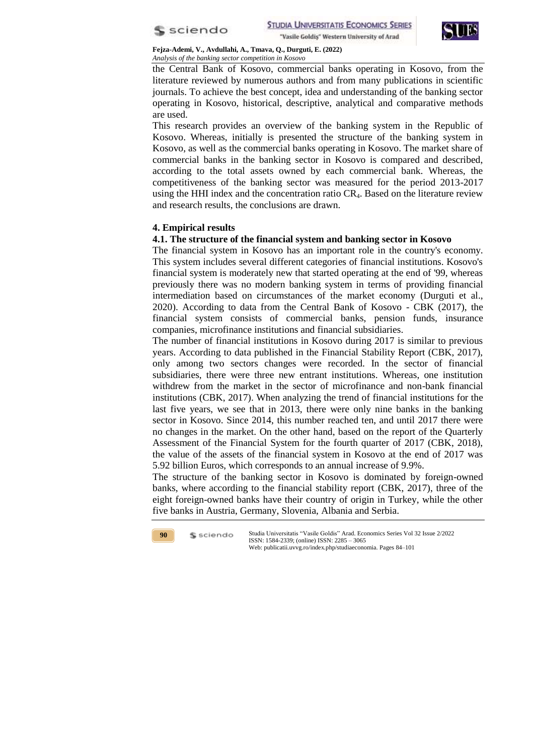



the Central Bank of Kosovo, commercial banks operating in Kosovo, from the literature reviewed by numerous authors and from many publications in scientific journals. To achieve the best concept, idea and understanding of the banking sector operating in Kosovo, historical, descriptive, analytical and comparative methods are used.

This research provides an overview of the banking system in the Republic of Kosovo. Whereas, initially is presented the structure of the banking system in Kosovo, as well as the commercial banks operating in Kosovo. The market share of commercial banks in the banking sector in Kosovo is compared and described, according to the total assets owned by each commercial bank. Whereas, the competitiveness of the banking sector was measured for the period 2013-2017 using the HHI index and the concentration ratio CR4. Based on the literature review and research results, the conclusions are drawn.

## **4. Empirical results**

#### **4.1. The structure of the financial system and banking sector in Kosovo**

The financial system in Kosovo has an important role in the country's economy. This system includes several different categories of financial institutions. Kosovo's financial system is moderately new that started operating at the end of '99, whereas previously there was no modern banking system in terms of providing financial intermediation based on circumstances of the market economy (Durguti et al., 2020). According to data from the Central Bank of Kosovo - CBK (2017), the financial system consists of commercial banks, pension funds, insurance companies, microfinance institutions and financial subsidiaries.

The number of financial institutions in Kosovo during 2017 is similar to previous years. According to data published in the Financial Stability Report (CBK, 2017), only among two sectors changes were recorded. In the sector of financial subsidiaries, there were three new entrant institutions. Whereas, one institution withdrew from the market in the sector of microfinance and non-bank financial institutions (CBK, 2017). When analyzing the trend of financial institutions for the last five years, we see that in 2013, there were only nine banks in the banking sector in Kosovo. Since 2014, this number reached ten, and until 2017 there were no changes in the market. On the other hand, based on the report of the Quarterly Assessment of the Financial System for the fourth quarter of 2017 (CBK, 2018), the value of the assets of the financial system in Kosovo at the end of 2017 was 5.92 billion Euros, which corresponds to an annual increase of 9.9%.

The structure of the banking sector in Kosovo is dominated by foreign-owned banks, where according to the financial stability report (CBK, 2017), three of the eight foreign-owned banks have their country of origin in Turkey, while the other five banks in Austria, Germany, Slovenia, Albania and Serbia.

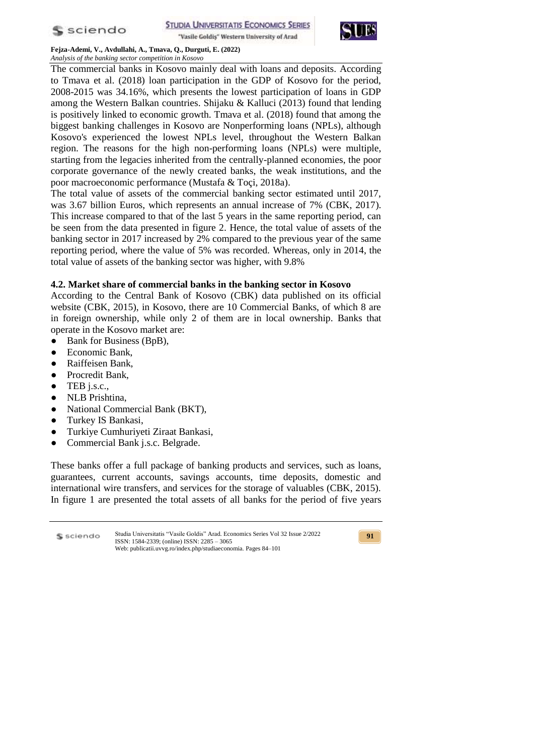

**STUDIA UNIVERSITATIS ECONOMICS SERIES** "Vasile Goldis" Western University of Arad



**Fejza-Ademi, V., Avdullahi, A., Tmava, Q., Durguti, E. (2022)** *Analysis of the banking sector competition in Kosovo*

The commercial banks in Kosovo mainly deal with loans and deposits. According to Tmava et al. (2018) loan participation in the GDP of Kosovo for the period, 2008-2015 was 34.16%, which presents the lowest participation of loans in GDP among the Western Balkan countries. Shijaku & Kalluci (2013) found that lending is positively linked to economic growth. Tmava et al. (2018) found that among the biggest banking challenges in Kosovo are Nonperforming loans (NPLs), although Kosovo's experienced the lowest NPLs level, throughout the Western Balkan region. The reasons for the high non-performing loans (NPLs) were multiple, starting from the legacies inherited from the centrally-planned economies, the poor corporate governance of the newly created banks, the weak institutions, and the poor macroeconomic performance (Mustafa & Toçi, 2018a).

The total value of assets of the commercial banking sector estimated until 2017, was 3.67 billion Euros, which represents an annual increase of 7% (CBK, 2017). This increase compared to that of the last 5 years in the same reporting period, can be seen from the data presented in figure 2. Hence, the total value of assets of the banking sector in 2017 increased by 2% compared to the previous year of the same reporting period, where the value of 5% was recorded. Whereas, only in 2014, the total value of assets of the banking sector was higher, with 9.8%

# **4.2. Market share of commercial banks in the banking sector in Kosovo**

According to the Central Bank of Kosovo (CBK) data published on its official website (CBK, 2015), in Kosovo, there are 10 Commercial Banks, of which 8 are in foreign ownership, while only 2 of them are in local ownership. Banks that operate in the Kosovo market are:

- Bank for Business (BpB),
- Economic Bank,
- Raiffeisen Bank,
- Procredit Bank,
- $\bullet$  TEB j.s.c.,
- NLB Prishtina,
- National Commercial Bank (BKT),
- Turkey IS Bankasi,
- Turkiye Cumhuriyeti Ziraat Bankasi,
- Commercial Bank j.s.c. Belgrade.

These banks offer a full package of banking products and services, such as loans, guarantees, current accounts, savings accounts, time deposits, domestic and international wire transfers, and services for the storage of valuables (CBK, 2015). In figure 1 are presented the total assets of all banks for the period of five years

Studia Universitatis "Vasile Goldis" Arad. Economics Series Vol 32 Issue 2/2022 S sciendo ISSN: 1584-2339; (online) ISSN: 2285 – 3065 Web: publicatii.uvvg.ro/index.php/studiaeconomia. Pages 84–101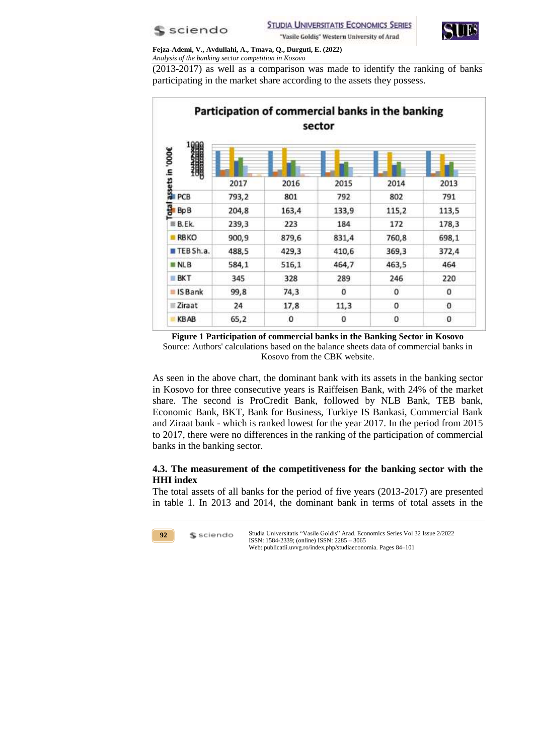



(2013-2017) as well as a comparison was made to identify the ranking of banks participating in the market share according to the assets they possess.

|                              |       |       | sector |          |          |
|------------------------------|-------|-------|--------|----------|----------|
| Tassets in '000€<br>Pa<br>Ca |       |       |        |          |          |
|                              | 2017  | 2016  | 2015   | 2014     | 2013     |
|                              | 793,2 | 801   | 792    | 802      | 791      |
| $\frac{1}{2}$ Bp B           | 204,8 | 163,4 | 133,9  | 115,2    | 113,5    |
| B.EK                         | 239,3 | 223   | 184    | 172      | 178,3    |
| <b>RBKO</b>                  | 900,9 | 879,6 | 831,4  | 760,8    | 698,1    |
| EEBSh.a.                     | 488,5 | 429,3 | 410,6  | 369,3    | 372,4    |
| <b>MINLB</b>                 | 584,1 | 516,1 | 464,7  | 463,5    | 464      |
| <b>BKT</b>                   | 345   | 328   | 289    | 246      | 220      |
| <b>BISBank</b>               | 99,8  | 74,3  | o      | $\Omega$ | $\Omega$ |
| Ziraat                       | 24    | 17,8  | 11,3   | 0        | 0        |
| <b>KBAB</b>                  | 65,2  | 0     | 0      | 0        | 0        |

**Figure 1 Participation of commercial banks in the Banking Sector in Kosovo** Source: Authors' calculations based on the balance sheets data of commercial banks in Kosovo from the CBK website.

As seen in the above chart, the dominant bank with its assets in the banking sector in Kosovo for three consecutive years is Raiffeisen Bank, with 24% of the market share. The second is ProCredit Bank, followed by NLB Bank, TEB bank, Economic Bank, BKT, Bank for Business, Turkiye IS Bankasi, Commercial Bank and Ziraat bank - which is ranked lowest for the year 2017. In the period from 2015 to 2017, there were no differences in the ranking of the participation of commercial banks in the banking sector.

# **4.3. The measurement of the competitiveness for the banking sector with the HHI index**

The total assets of all banks for the period of five years (2013-2017) are presented in table 1. In 2013 and 2014, the dominant bank in terms of total assets in the

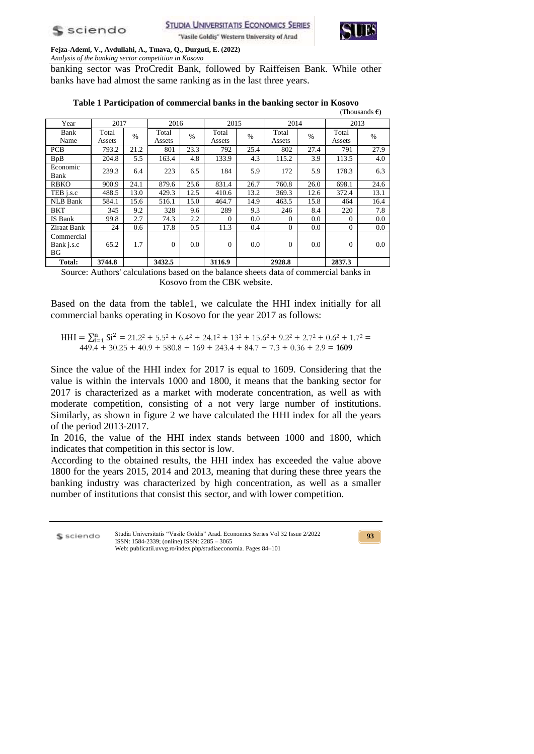

 $(1 - C)$ 

**Fejza-Ademi, V., Avdullahi, A., Tmava, Q., Durguti, E. (2022)** *Analysis of the banking sector competition in Kosovo*

banking sector was ProCredit Bank, followed by Raiffeisen Bank. While other banks have had almost the same ranking as in the last three years.

|                                |                 |               |                 |      |                 |      |                 |      |                 | , подващь С |
|--------------------------------|-----------------|---------------|-----------------|------|-----------------|------|-----------------|------|-----------------|-------------|
| Year                           | 2017            |               | 2016            |      | 2015            |      | 2014            |      | 2013            |             |
| Bank<br>Name                   | Total<br>Assets | $\frac{0}{0}$ | Total<br>Assets | $\%$ | Total<br>Assets | $\%$ | Total<br>Assets | $\%$ | Total<br>Assets | $\%$        |
| <b>PCB</b>                     | 793.2           | 21.2          | 801             | 23.3 | 792             | 25.4 | 802             | 27.4 | 791             | 27.9        |
| <b>B</b> <sub>p</sub> B        | 204.8           | 5.5           | 163.4           | 4.8  | 133.9           | 4.3  | 115.2           | 3.9  | 113.5           | 4.0         |
| Economic<br>Bank               | 239.3           | 6.4           | 223             | 6.5  | 184             | 5.9  | 172             | 5.9  | 178.3           | 6.3         |
| <b>RBKO</b>                    | 900.9           | 24.1          | 879.6           | 25.6 | 831.4           | 26.7 | 760.8           | 26.0 | 698.1           | 24.6        |
| TEB j.s.c                      | 488.5           | 13.0          | 429.3           | 12.5 | 410.6           | 13.2 | 369.3           | 12.6 | 372.4           | 13.1        |
| <b>NLB</b> Bank                | 584.1           | 15.6          | 516.1           | 15.0 | 464.7           | 14.9 | 463.5           | 15.8 | 464             | 16.4        |
| <b>BKT</b>                     | 345             | 9.2           | 328             | 9.6  | 289             | 9.3  | 246             | 8.4  | 220             | 7.8         |
| IS Bank                        | 99.8            | 2.7           | 74.3            | 2.2  | $\Omega$        | 0.0  | $\Omega$        | 0.0  | $\Omega$        | 0.0         |
| Ziraat Bank                    | 24              | 0.6           | 17.8            | 0.5  | 11.3            | 0.4  | $\Omega$        | 0.0  | $\theta$        | 0.0         |
| Commercial<br>Bank j.s.c<br>BG | 65.2            | 1.7           | $\Omega$        | 0.0  | $\overline{0}$  | 0.0  | $\theta$        | 0.0  | $\overline{0}$  | 0.0         |
| Total:                         | 3744.8          |               | 3432.5          |      | 3116.9          |      | 2928.8          |      | 2837.3          |             |

**Table 1 Participation of commercial banks in the banking sector in Kosovo**

Source: Authors' calculations based on the balance sheets data of commercial banks in Kosovo from the CBK website.

Based on the data from the table1, we calculate the HHI index initially for all commercial banks operating in Kosovo for the year 2017 as follows:

 $HHI = \sum_{i=1}^{n} Si^{2} = 21.2^{2} + 5.5^{2} + 6.4^{2} + 24.1^{2} + 13^{2} + 15.6^{2} + 9.2^{2} + 2.7^{2} + 0.6^{2} + 1.7^{2} =$  $449.4 + 30.25 + 40.9 + 580.8 + 169 + 243.4 + 84.7 + 7.3 + 0.36 + 2.9 = 1609$ 

Since the value of the HHI index for 2017 is equal to 1609. Considering that the value is within the intervals 1000 and 1800, it means that the banking sector for 2017 is characterized as a market with moderate concentration, as well as with moderate competition, consisting of a not very large number of institutions. Similarly, as shown in figure 2 we have calculated the HHI index for all the years of the period 2013-2017.

In 2016, the value of the HHI index stands between 1000 and 1800, which indicates that competition in this sector is low.

According to the obtained results, the HHI index has exceeded the value above 1800 for the years 2015, 2014 and 2013, meaning that during these three years the banking industry was characterized by high concentration, as well as a smaller number of institutions that consist this sector, and with lower competition.

| S sciendo | Studia Universitatis "Vasile Goldis" Arad. Economics Series Vol 32 Issue 2/2022<br>ISSN: $1584-2339$ ; (online) ISSN: $2285 - 3065$ |
|-----------|-------------------------------------------------------------------------------------------------------------------------------------|
|           | Web: publicatii.uvvg.ro/index.php/studiaeconomia. Pages 84–101                                                                      |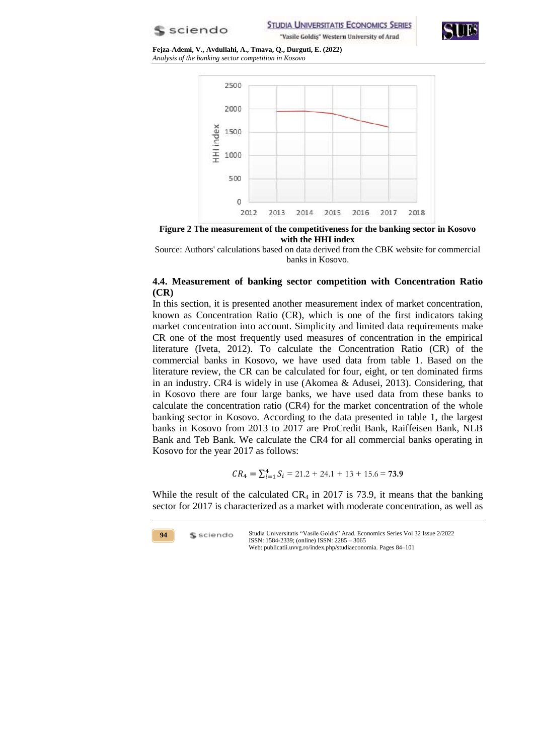**S** sciendo

**STUDIA UNIVERSITATIS ECONOMICS SERIES** "Vasile Goldiş" Western University of Arad



**Fejza-Ademi, V., Avdullahi, A., Tmava, Q., Durguti, E. (2022)** *Analysis of the banking sector competition in Kosovo*



**Figure 2 The measurement of the competitiveness for the banking sector in Kosovo with the HHI index**

Source: Authors' calculations based on data derived from the CBK website for commercial banks in Kosovo.

### **4.4. Measurement of banking sector competition with Concentration Ratio (CR)**

In this section, it is presented another measurement index of market concentration, known as Concentration Ratio (CR), which is one of the first indicators taking market concentration into account. Simplicity and limited data requirements make CR one of the most frequently used measures of concentration in the empirical literature (Iveta, 2012). To calculate the Concentration Ratio (CR) of the commercial banks in Kosovo, we have used data from table 1. Based on the literature review, the CR can be calculated for four, eight, or ten dominated firms in an industry. CR4 is widely in use (Akomea & Adusei, 2013). Considering, that in Kosovo there are four large banks, we have used data from these banks to calculate the concentration ratio (CR4) for the market concentration of the whole banking sector in Kosovo. According to the data presented in table 1, the largest banks in Kosovo from 2013 to 2017 are ProCredit Bank, Raiffeisen Bank, NLB Bank and Teb Bank. We calculate the CR4 for all commercial banks operating in Kosovo for the year 2017 as follows:

$$
CR_4 = \sum_{i=1}^{4} S_i = 21.2 + 24.1 + 13 + 15.6 = 73.9
$$

While the result of the calculated  $CR_4$  in 2017 is 73.9, it means that the banking sector for 2017 is characterized as a market with moderate concentration, as well as

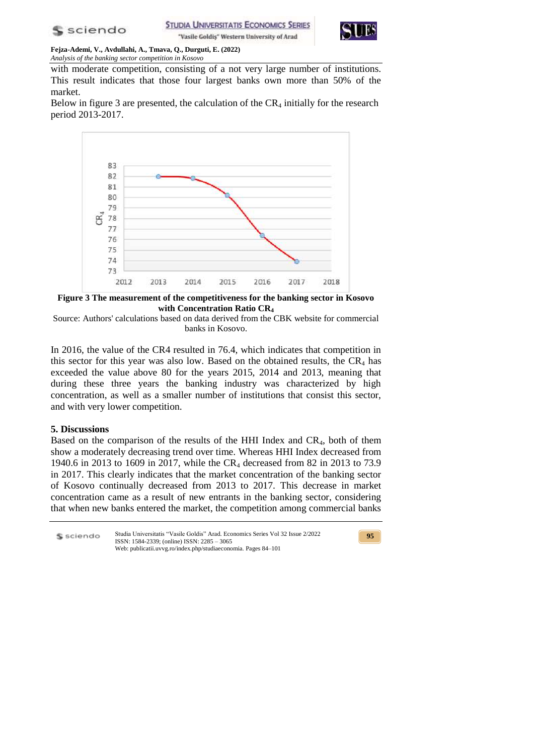



with moderate competition, consisting of a not very large number of institutions. This result indicates that those four largest banks own more than 50% of the market.

Below in figure 3 are presented, the calculation of the  $CR_4$  initially for the research period 2013-2017.



**Figure 3 The measurement of the competitiveness for the banking sector in Kosovo with Concentration Ratio CR<sup>4</sup>**

Source: Authors' calculations based on data derived from the CBK website for commercial banks in Kosovo.

In 2016, the value of the CR4 resulted in 76.4, which indicates that competition in this sector for this year was also low. Based on the obtained results, the  $CR_4$  has exceeded the value above 80 for the years 2015, 2014 and 2013, meaning that during these three years the banking industry was characterized by high concentration, as well as a smaller number of institutions that consist this sector, and with very lower competition.

## **5. Discussions**

Based on the comparison of the results of the HHI Index and CR4, both of them show a moderately decreasing trend over time. Whereas HHI Index decreased from 1940.6 in 2013 to 1609 in 2017, while the CR<sub>4</sub> decreased from 82 in 2013 to 73.9 in 2017. This clearly indicates that the market concentration of the banking sector of Kosovo continually decreased from 2013 to 2017. This decrease in market concentration came as a result of new entrants in the banking sector, considering that when new banks entered the market, the competition among commercial banks

| S sciendo | Studia Universitatis "Vasile Goldis" Arad. Economics Series Vol 32 Issue 2/2022<br>ISSN: $1584-2339$ ; (online) ISSN: $2285 - 3065$ | 95 |
|-----------|-------------------------------------------------------------------------------------------------------------------------------------|----|
|           | Web: publicatii.uvvg.ro/index.php/studiaeconomia. Pages 84–101                                                                      |    |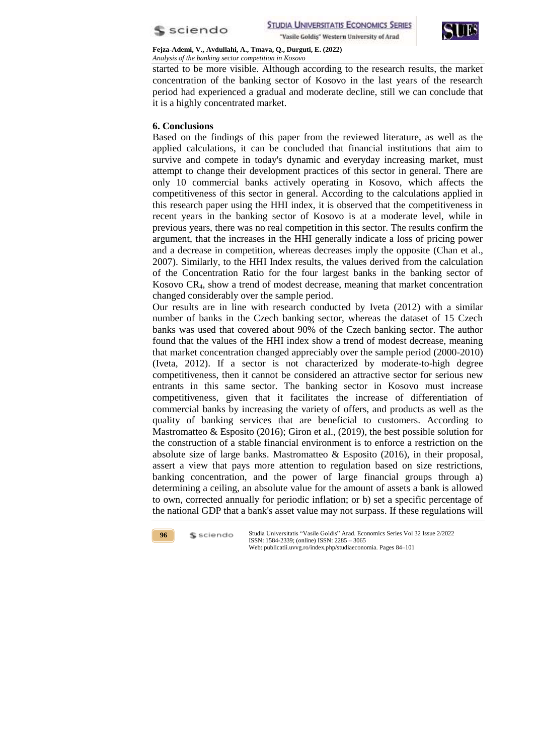



started to be more visible. Although according to the research results, the market concentration of the banking sector of Kosovo in the last years of the research period had experienced a gradual and moderate decline, still we can conclude that it is a highly concentrated market.

## **6. Conclusions**

Based on the findings of this paper from the reviewed literature, as well as the applied calculations, it can be concluded that financial institutions that aim to survive and compete in today's dynamic and everyday increasing market, must attempt to change their development practices of this sector in general. There are only 10 commercial banks actively operating in Kosovo, which affects the competitiveness of this sector in general. According to the calculations applied in this research paper using the HHI index, it is observed that the competitiveness in recent years in the banking sector of Kosovo is at a moderate level, while in previous years, there was no real competition in this sector. The results confirm the argument, that the increases in the HHI generally indicate a loss of pricing power and a decrease in competition, whereas decreases imply the opposite (Chan et al., 2007). Similarly, to the HHI Index results, the values derived from the calculation of the Concentration Ratio for the four largest banks in the banking sector of Kosovo CR4, show a trend of modest decrease, meaning that market concentration changed considerably over the sample period.

Our results are in line with research conducted by Iveta (2012) with a similar number of banks in the Czech banking sector, whereas the dataset of 15 Czech banks was used that covered about 90% of the Czech banking sector. The author found that the values of the HHI index show a trend of modest decrease, meaning that market concentration changed appreciably over the sample period (2000-2010) (Iveta, 2012). If a sector is not characterized by moderate-to-high degree competitiveness, then it cannot be considered an attractive sector for serious new entrants in this same sector. The banking sector in Kosovo must increase competitiveness, given that it facilitates the increase of differentiation of commercial banks by increasing the variety of offers, and products as well as the quality of banking services that are beneficial to customers. According to Mastromatteo & Esposito (2016); Giron et al., (2019), the best possible solution for the construction of a stable financial environment is to enforce a restriction on the absolute size of large banks. Mastromatteo & Esposito (2016), in their proposal, assert a view that pays more attention to regulation based on size restrictions, banking concentration, and the power of large financial groups through a) determining a ceiling, an absolute value for the amount of assets a bank is allowed to own, corrected annually for periodic inflation; or b) set a specific percentage of the national GDP that a bank's asset value may not surpass. If these regulations will

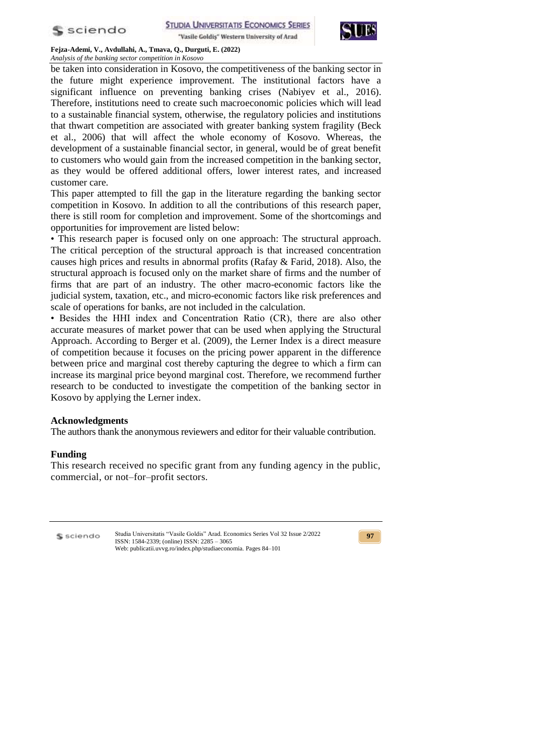

"Vasile Goldis" Western University of Arad



**Fejza-Ademi, V., Avdullahi, A., Tmava, Q., Durguti, E. (2022)** *Analysis of the banking sector competition in Kosovo*

be taken into consideration in Kosovo, the competitiveness of the banking sector in the future might experience improvement. The institutional factors have a significant influence on preventing banking crises (Nabiyev et al., 2016). Therefore, institutions need to create such macroeconomic policies which will lead to a sustainable financial system, otherwise, the regulatory policies and institutions that thwart competition are associated with greater banking system fragility (Beck et al., 2006) that will affect the whole economy of Kosovo. Whereas, the development of a sustainable financial sector, in general, would be of great benefit to customers who would gain from the increased competition in the banking sector, as they would be offered additional offers, lower interest rates, and increased customer care.

This paper attempted to fill the gap in the literature regarding the banking sector competition in Kosovo. In addition to all the contributions of this research paper, there is still room for completion and improvement. Some of the shortcomings and opportunities for improvement are listed below:

• This research paper is focused only on one approach: The structural approach. The critical perception of the structural approach is that increased concentration causes high prices and results in abnormal profits (Rafay & Farid, 2018). Also, the structural approach is focused only on the market share of firms and the number of firms that are part of an industry. The other macro-economic factors like the judicial system, taxation, etc., and micro-economic factors like risk preferences and scale of operations for banks, are not included in the calculation.

• Besides the HHI index and Concentration Ratio (CR), there are also other accurate measures of market power that can be used when applying the Structural Approach. According to Berger et al. (2009), the Lerner Index is a direct measure of competition because it focuses on the pricing power apparent in the difference between price and marginal cost thereby capturing the degree to which a firm can increase its marginal price beyond marginal cost. Therefore, we recommend further research to be conducted to investigate the competition of the banking sector in Kosovo by applying the Lerner index.

## **Acknowledgments**

The authors thank the anonymous reviewers and editor for their valuable contribution.

#### **Funding**

This research received no specific grant from any funding agency in the public, commercial, or not–for–profit sectors.

S sciendo

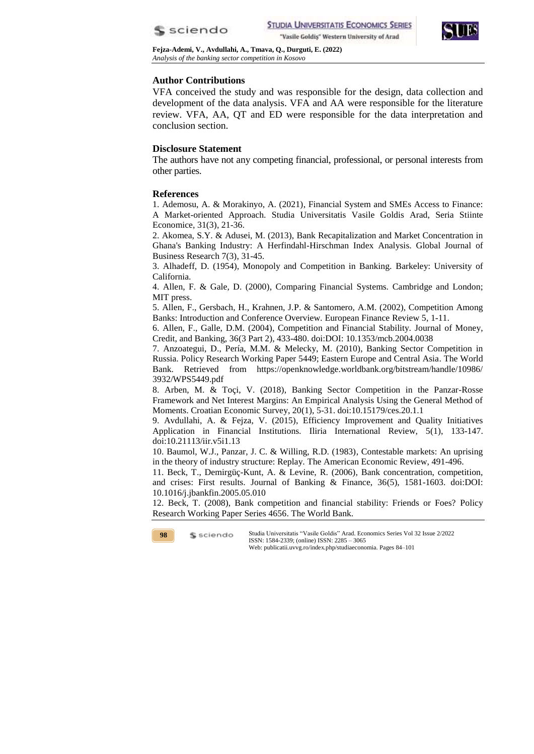



## **Author Contributions**

VFA conceived the study and was responsible for the design, data collection and development of the data analysis. VFA and AA were responsible for the literature review. VFA, AA, QT and ED were responsible for the data interpretation and conclusion section.

### **Disclosure Statement**

The authors have not any competing financial, professional, or personal interests from other parties.

#### **References**

1. Ademosu, A. & Morakinyo, A. (2021), Financial System and SMEs Access to Finance: A Market-oriented Approach. Studia Universitatis Vasile Goldis Arad, Seria Stiinte Economice, 31(3), 21-36.

2. Akomea, S.Y. & Adusei, M. (2013), Bank Recapitalization and Market Concentration in Ghana's Banking Industry: A Herfindahl-Hirschman Index Analysis. Global Journal of Business Research 7(3), 31-45.

3. Alhadeff, D. (1954), Monopoly and Competition in Banking. Barkeley: University of California.

4. Allen, F. & Gale, D. (2000), Comparing Financial Systems. Cambridge and London; MIT press.

5. Allen, F., Gersbach, H., Krahnen, J.P. & Santomero, A.M. (2002), Competition Among Banks: Introduction and Conference Overview. European Finance Review 5, 1-11.

6. Allen, F., Galle, D.M. (2004), Competition and Financial Stability. Journal of Money, Credit, and Banking, 36(3 Part 2), 433-480. doi:DOI: 10.1353/mcb.2004.0038

7. Anzoategui, D., Pería, M.M. & Melecky, M. (2010), Banking Sector Competition in Russia. Policy Research Working Paper 5449; Eastern Europe and Central Asia. The World Bank. Retrieved from https://openknowledge.worldbank.org/bitstream/handle/10986/ 3932/WPS5449.pdf

8. Arben, M. & Toçi, V. (2018), Banking Sector Competition in the Panzar-Rosse Framework and Net Interest Margins: An Empirical Analysis Using the General Method of Moments. Croatian Economic Survey, 20(1), 5-31. doi:10.15179/ces.20.1.1

9. Avdullahi, A. & Fejza, V. (2015), Efficiency Improvement and Quality Initiatives Application in Financial Institutions. Iliria International Review, 5(1), 133-147. doi:10.21113/iir.v5i1.13

10. Baumol, W.J., Panzar, J. C. & Willing, R.D. (1983), Contestable markets: An uprising in the theory of industry structure: Replay. The American Economic Review, 491-496.

11. Beck, T., Demirgüç-Kunt, A. & Levine, R. (2006), Bank concentration, competition, and crises: First results. Journal of Banking & Finance, 36(5), 1581-1603. doi:DOI: 10.1016/j.jbankfin.2005.05.010

12. Beck, T. (2008), Bank competition and financial stability: Friends or Foes? Policy Research Working Paper Series 4656. The World Bank.

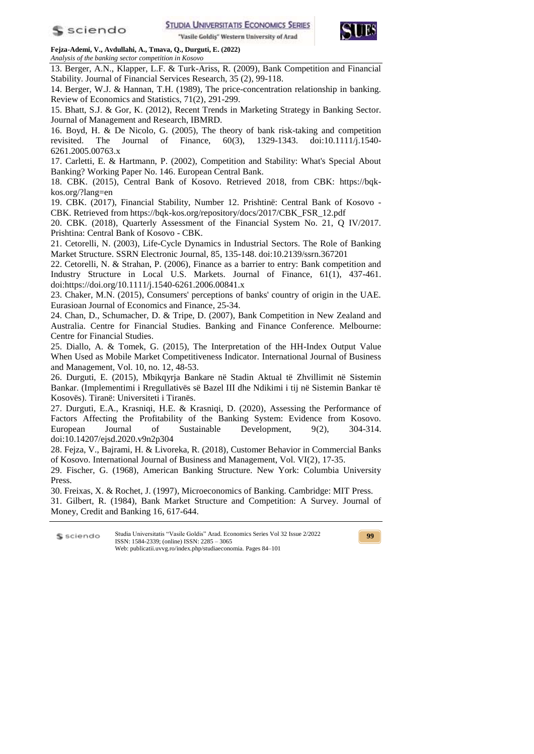



13. Berger, A.N., Klapper, L.F. & Turk-Ariss, R. (2009), Bank Competition and Financial Stability. Journal of Financial Services Research, 35 (2), 99-118.

14. Berger, W.J. & Hannan, T.H. (1989), The price-concentration relationship in banking. Review of Economics and Statistics, 71(2), 291-299.

15. Bhatt, S.J. & Gor, K. (2012), Recent Trends in Marketing Strategy in Banking Sector. Journal of Management and Research, IBMRD.

16. Boyd, H. & De Nicolo, G. (2005), The theory of bank risk-taking and competition revisited. The Journal of Finance, 60(3), 1329-1343. doi:10.1111/j.1540- 6261.2005.00763.x

17. Carletti, E. & Hartmann, P. (2002), Competition and Stability: What's Special About Banking? Working Paper No. 146. European Central Bank.

18. CBK. (2015), Central Bank of Kosovo. Retrieved 2018, from CBK: https://bqkkos.org/?lang=en

19. CBK. (2017), Financial Stability, Number 12. Prishtinë: Central Bank of Kosovo - CBK. Retrieved from https://bqk-kos.org/repository/docs/2017/CBK\_FSR\_12.pdf

20. CBK. (2018), Quarterly Assessment of the Financial System No. 21, Q IV/2017. Prishtina: Central Bank of Kosovo - CBK.

21. Cetorelli, N. (2003), Life-Cycle Dynamics in Industrial Sectors. The Role of Banking Market Structure. SSRN Electronic Journal, 85, 135-148. doi:10.2139/ssrn.367201

22. Cetorelli, N. & Strahan, P. (2006), Finance as a barrier to entry: Bank competition and Industry Structure in Local U.S. Markets. Journal of Finance, 61(1), 437-461. doi:https://doi.org/10.1111/j.1540-6261.2006.00841.x

23. Chaker, M.N. (2015), Consumers' perceptions of banks' country of origin in the UAE. Eurasioan Journal of Economics and Finance, 25-34.

24. Chan, D., Schumacher, D. & Tripe, D. (2007), Bank Competition in New Zealand and Australia. Centre for Financial Studies. Banking and Finance Conference. Melbourne: Centre for Financial Studies.

25. Diallo, A. & Tomek, G. (2015), The Interpretation of the HH-Index Output Value When Used as Mobile Market Competitiveness Indicator. International Journal of Business and Management, Vol. 10, no. 12, 48-53.

26. Durguti, E. (2015), Mbikqyrja Bankare në Stadin Aktual të Zhvillimit në Sistemin Bankar. (Implementimi i Rregullativës së Bazel III dhe Ndikimi i tij në Sistemin Bankar të Kosovës). Tiranë: Universiteti i Tiranës.

27. Durguti, E.A., Krasniqi, H.E. & Krasniqi, D. (2020), Assessing the Performance of Factors Affecting the Profitability of the Banking System: Evidence from Kosovo. European Journal of Sustainable Development, 9(2), 304-314. doi:10.14207/ejsd.2020.v9n2p304

28. Fejza, V., Bajrami, H. & Livoreka, R. (2018), Customer Behavior in Commercial Banks of Kosovo. International Journal of Business and Management, Vol. VI(2), 17-35.

29. Fischer, G. (1968), American Banking Structure. New York: Columbia University Press.

30. Freixas, X. & Rochet, J. (1997), Microeconomics of Banking. Cambridge: MIT Press.

31. Gilbert, R. (1984), Bank Market Structure and Competition: A Survey. Journal of Money, Credit and Banking 16, 617-644.

Studia Universitatis "Vasile Goldis" Arad. Economics Series Vol 32 Issue 2/2022 S sciendo ISSN: 1584-2339; (online) ISSN: 2285 – 3065 Web: publicatii.uvvg.ro/index.php/studiaeconomia. Pages 84–101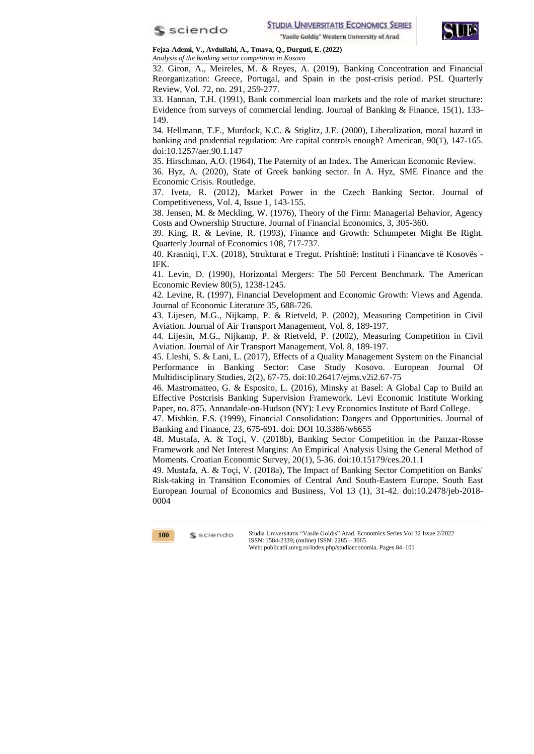



32. Giron, A., Meireles, M. & Reyes, A. (2019), Banking Concentration and Financial Reorganization: Greece, Portugal, and Spain in the post-crisis period. PSL Quarterly Review, Vol. 72, no. 291, 259-277.

33. Hannan, T.H. (1991), Bank commercial loan markets and the role of market structure: Evidence from surveys of commercial lending. Journal of Banking & Finance, 15(1), 133- 149.

34. Hellmann, T.F., Murdock, K.C. & Stiglitz, J.E. (2000), Liberalization, moral hazard in banking and prudential regulation: Are capital controls enough? American, 90(1), 147-165. doi:10.1257/aer.90.1.147

35. Hirschman, A.O. (1964), The Paternity of an Index. The American Economic Review.

36. Hyz, A. (2020), State of Greek banking sector. In A. Hyz, SME Finance and the Economic Crisis. Routledge.

37. Iveta, R. (2012), Market Power in the Czech Banking Sector. Journal of Competitiveness, Vol. 4, Issue 1, 143-155.

38. Jensen, M. & Meckling, W. (1976), Theory of the Firm: Managerial Behavior, Agency Costs and Ownership Structure. Journal of Financial Economics, 3, 305-360.

39. King, R. & Levine, R. (1993), Finance and Growth: Schumpeter Might Be Right. Quarterly Journal of Economics 108, 717-737.

40. Krasniqi, F.X. (2018), Strukturat e Tregut. Prishtinë: Instituti i Financave të Kosovës - IFK.

41. Levin, D. (1990), Horizontal Mergers: The 50 Percent Benchmark. The American Economic Review 80(5), 1238-1245.

42. Levine, R. (1997), Financial Development and Economic Growth: Views and Agenda. Journal of Economic Literature 35, 688-726.

43. Lijesen, M.G., Nijkamp, P. & Rietveld, P. (2002), Measuring Competition in Civil Aviation. Journal of Air Transport Management, Vol. 8, 189-197.

44. Lijesin, M.G., Nijkamp, P. & Rietveld, P. (2002), Measuring Competition in Civil Aviation. Journal of Air Transport Management, Vol. 8, 189-197.

45. Lleshi, S. & Lani, L. (2017), Effects of a Quality Management System on the Financial Performance in Banking Sector: Case Study Kosovo. European Journal Of Multidisciplinary Studies, 2(2), 67-75. doi:10.26417/ejms.v2i2.67-75

46. Mastromatteo, G. & Esposito, L. (2016), Minsky at Basel: A Global Cap to Build an Effective Postcrisis Banking Supervision Framework. Levi Economic Institute Working Paper, no. 875. Annandale-on-Hudson (NY): Levy Economics Institute of Bard College.

47. Mishkin, F.S. (1999), Financial Consolidation: Dangers and Opportunities. Journal of Banking and Finance, 23, 675-691. doi: DOI 10.3386/w6655

48. Mustafa, A. & Toçi, V. (2018b), Banking Sector Competition in the Panzar-Rosse Framework and Net Interest Margins: An Empirical Analysis Using the General Method of Moments. Croatian Economic Survey, 20(1), 5-36. doi:10.15179/ces.20.1.1

49. Mustafa, A. & Toçi, V. (2018a), The Impact of Banking Sector Competition on Banks' Risk-taking in Transition Economies of Central And South-Eastern Europe. South East European Journal of Economics and Business, Vol 13 (1), 31-42. doi:10.2478/jeb-2018- 0004